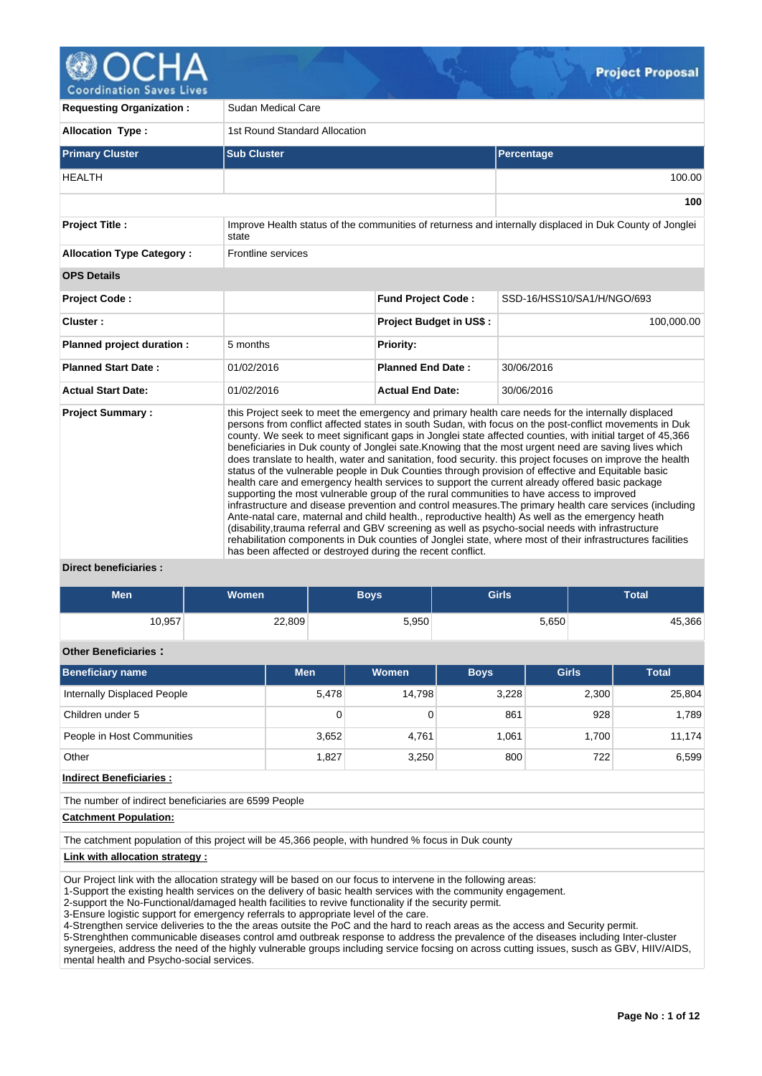

**Coordination Saves Lives** 

| <b>Requesting Organization:</b>  | Sudan Medical Care                                         |                                |                                                                                                                                                                                                                                                                                                                                                                                                                                                                                                                                                                                                                                                                                                                                                                                                                                                                                                                                                                                                                                                                                                                                                                                                                                                                                        |  |  |  |  |
|----------------------------------|------------------------------------------------------------|--------------------------------|----------------------------------------------------------------------------------------------------------------------------------------------------------------------------------------------------------------------------------------------------------------------------------------------------------------------------------------------------------------------------------------------------------------------------------------------------------------------------------------------------------------------------------------------------------------------------------------------------------------------------------------------------------------------------------------------------------------------------------------------------------------------------------------------------------------------------------------------------------------------------------------------------------------------------------------------------------------------------------------------------------------------------------------------------------------------------------------------------------------------------------------------------------------------------------------------------------------------------------------------------------------------------------------|--|--|--|--|
| <b>Allocation Type:</b>          | 1st Round Standard Allocation                              |                                |                                                                                                                                                                                                                                                                                                                                                                                                                                                                                                                                                                                                                                                                                                                                                                                                                                                                                                                                                                                                                                                                                                                                                                                                                                                                                        |  |  |  |  |
| <b>Primary Cluster</b>           | <b>Sub Cluster</b>                                         |                                | <b>Percentage</b>                                                                                                                                                                                                                                                                                                                                                                                                                                                                                                                                                                                                                                                                                                                                                                                                                                                                                                                                                                                                                                                                                                                                                                                                                                                                      |  |  |  |  |
| <b>HEALTH</b>                    |                                                            |                                | 100.00                                                                                                                                                                                                                                                                                                                                                                                                                                                                                                                                                                                                                                                                                                                                                                                                                                                                                                                                                                                                                                                                                                                                                                                                                                                                                 |  |  |  |  |
|                                  |                                                            |                                | 100                                                                                                                                                                                                                                                                                                                                                                                                                                                                                                                                                                                                                                                                                                                                                                                                                                                                                                                                                                                                                                                                                                                                                                                                                                                                                    |  |  |  |  |
| <b>Project Title:</b>            | state                                                      |                                | Improve Health status of the communities of returness and internally displaced in Duk County of Jonglei                                                                                                                                                                                                                                                                                                                                                                                                                                                                                                                                                                                                                                                                                                                                                                                                                                                                                                                                                                                                                                                                                                                                                                                |  |  |  |  |
| <b>Allocation Type Category:</b> | Frontline services                                         |                                |                                                                                                                                                                                                                                                                                                                                                                                                                                                                                                                                                                                                                                                                                                                                                                                                                                                                                                                                                                                                                                                                                                                                                                                                                                                                                        |  |  |  |  |
| <b>OPS Details</b>               |                                                            |                                |                                                                                                                                                                                                                                                                                                                                                                                                                                                                                                                                                                                                                                                                                                                                                                                                                                                                                                                                                                                                                                                                                                                                                                                                                                                                                        |  |  |  |  |
| <b>Project Code:</b>             |                                                            | SSD-16/HSS10/SA1/H/NGO/693     |                                                                                                                                                                                                                                                                                                                                                                                                                                                                                                                                                                                                                                                                                                                                                                                                                                                                                                                                                                                                                                                                                                                                                                                                                                                                                        |  |  |  |  |
| Cluster:                         |                                                            | <b>Project Budget in US\$:</b> | 100,000.00                                                                                                                                                                                                                                                                                                                                                                                                                                                                                                                                                                                                                                                                                                                                                                                                                                                                                                                                                                                                                                                                                                                                                                                                                                                                             |  |  |  |  |
| Planned project duration :       | 5 months                                                   | <b>Priority:</b>               |                                                                                                                                                                                                                                                                                                                                                                                                                                                                                                                                                                                                                                                                                                                                                                                                                                                                                                                                                                                                                                                                                                                                                                                                                                                                                        |  |  |  |  |
| <b>Planned Start Date:</b>       | 01/02/2016                                                 | <b>Planned End Date:</b>       | 30/06/2016                                                                                                                                                                                                                                                                                                                                                                                                                                                                                                                                                                                                                                                                                                                                                                                                                                                                                                                                                                                                                                                                                                                                                                                                                                                                             |  |  |  |  |
| <b>Actual Start Date:</b>        | 01/02/2016                                                 | <b>Actual End Date:</b>        | 30/06/2016                                                                                                                                                                                                                                                                                                                                                                                                                                                                                                                                                                                                                                                                                                                                                                                                                                                                                                                                                                                                                                                                                                                                                                                                                                                                             |  |  |  |  |
| <b>Project Summary:</b>          | has been affected or destroyed during the recent conflict. |                                | this Project seek to meet the emergency and primary health care needs for the internally displaced<br>persons from conflict affected states in south Sudan, with focus on the post-conflict movements in Duk<br>county. We seek to meet significant gaps in Jonglei state affected counties, with initial target of 45,366<br>beneficiaries in Duk county of Jonglei sate. Knowing that the most urgent need are saving lives which<br>does translate to health, water and sanitation, food security. this project focuses on improve the health<br>status of the vulnerable people in Duk Counties through provision of effective and Equitable basic<br>health care and emergency health services to support the current already offered basic package<br>supporting the most vulnerable group of the rural communities to have access to improved<br>infrastructure and disease prevention and control measures. The primary health care services (including<br>Ante-natal care, maternal and child health., reproductive health) As well as the emergency heath<br>(disability, trauma referral and GBV screening as well as psycho-social needs with infrastructure<br>rehabilitation components in Duk counties of Jonglei state, where most of their infrastructures facilities |  |  |  |  |

### **Direct beneficiaries :**

| <b>Men</b> | <b>Women</b> | <b>Boys</b> | <b>Girls</b> | Total  |  |  |  |
|------------|--------------|-------------|--------------|--------|--|--|--|
| 10,957     | 22,809       | 5,950       | 5,650        | 45,366 |  |  |  |

# **Other Beneficiaries :**

| <b>Beneficiary name</b>     | <b>Men</b> | <b>Women</b> | <b>Boys</b> | <b>Girls</b> | <b>Total</b> |
|-----------------------------|------------|--------------|-------------|--------------|--------------|
| Internally Displaced People | 5,478      | 14.798       | 3,228       | 2,300        | 25,804       |
| Children under 5            | 0          |              | 861         | 928          | 1,789        |
| People in Host Communities  | 3,652      | 4,761        | 1.061       | 1.700        | 11,174       |
| Other                       | 1,827      | 3,250        | 800         | 722          | 6,599        |

**Indirect Beneficiaries :**

The number of indirect beneficiaries are 6599 People

# **Catchment Population:**

The catchment population of this project will be 45,366 people, with hundred % focus in Duk county

#### **Link with allocation strategy :**

Our Project link with the allocation strategy will be based on our focus to intervene in the following areas:

1-Support the existing health services on the delivery of basic health services with the community engagement.

2-support the No-Functional/damaged health facilities to revive functionality if the security permit.

3-Ensure logistic support for emergency referrals to appropriate level of the care.

4-Strengthen service deliveries to the the areas outsite the PoC and the hard to reach areas as the access and Security permit.

5-Strenghthen communicable diseases control amd outbreak response to address the prevalence of the diseases including Inter-cluster synergeies, address the need of the highly vulnerable groups including service focsing on across cutting issues, susch as GBV, HIIV/AIDS, mental health and Psycho-social services.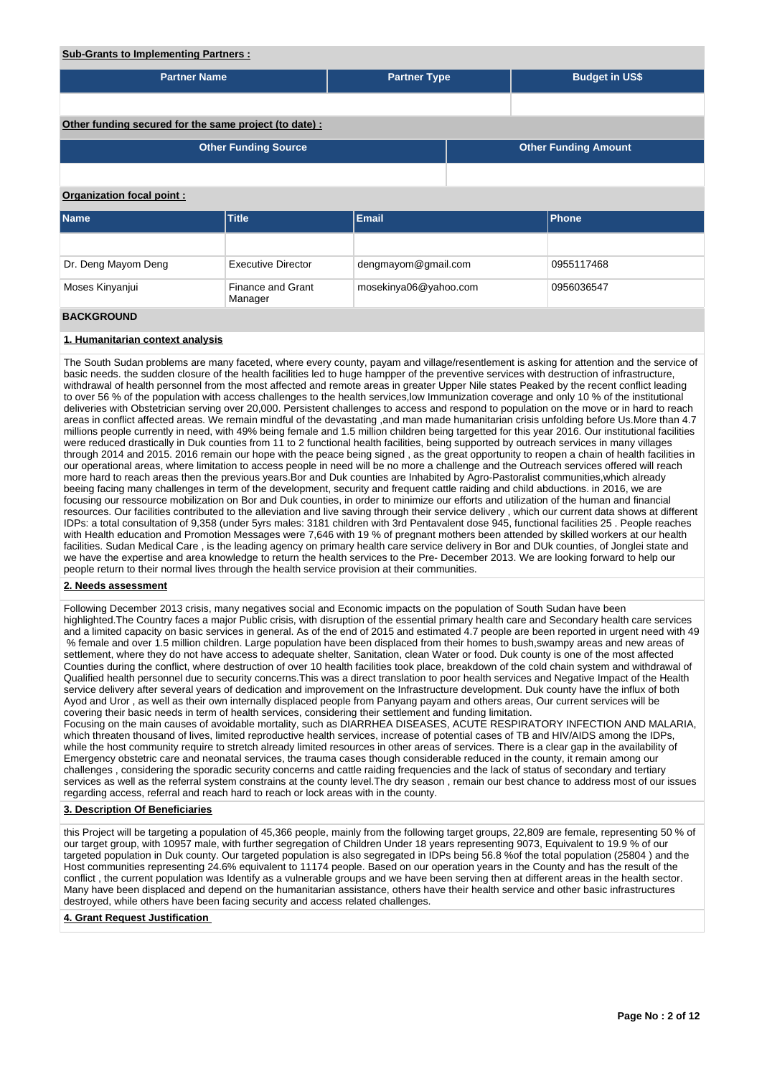## **Sub-Grants to Implementing Partners :**

| <b>Partner Name</b>                                                                                                                                                                                                                                                                    |                                     | <b>Partner Type</b>   |  | <b>Budget in US\$</b>       |  |  |  |  |  |
|----------------------------------------------------------------------------------------------------------------------------------------------------------------------------------------------------------------------------------------------------------------------------------------|-------------------------------------|-----------------------|--|-----------------------------|--|--|--|--|--|
|                                                                                                                                                                                                                                                                                        |                                     |                       |  |                             |  |  |  |  |  |
| Other funding secured for the same project (to date):                                                                                                                                                                                                                                  |                                     |                       |  |                             |  |  |  |  |  |
|                                                                                                                                                                                                                                                                                        | <b>Other Funding Source</b>         |                       |  | <b>Other Funding Amount</b> |  |  |  |  |  |
|                                                                                                                                                                                                                                                                                        |                                     |                       |  |                             |  |  |  |  |  |
| Organization focal point:                                                                                                                                                                                                                                                              |                                     |                       |  |                             |  |  |  |  |  |
| <b>Name</b>                                                                                                                                                                                                                                                                            | <b>Title</b>                        | <b>Email</b>          |  | <b>Phone</b>                |  |  |  |  |  |
|                                                                                                                                                                                                                                                                                        |                                     |                       |  |                             |  |  |  |  |  |
| Dr. Deng Mayom Deng                                                                                                                                                                                                                                                                    | <b>Executive Director</b>           | dengmayom@gmail.com   |  | 0955117468                  |  |  |  |  |  |
| Moses Kinyanjui                                                                                                                                                                                                                                                                        | <b>Finance and Grant</b><br>Manager | mosekinya06@yahoo.com |  | 0956036547                  |  |  |  |  |  |
| <b>BACKGROUND</b>                                                                                                                                                                                                                                                                      |                                     |                       |  |                             |  |  |  |  |  |
| 1. Humanitarian context analysis                                                                                                                                                                                                                                                       |                                     |                       |  |                             |  |  |  |  |  |
| The South Sudan problems are many faceted, where every county, payam and village/resentlement is asking for attention and the service of<br>basic needs, the sudden closure of the health facilities led to huge hampper of the preventive services with destruction of infrastructure |                                     |                       |  |                             |  |  |  |  |  |

basic needs. the sudden closure of the health facilities led to huge hampper of the preventive services with destruction of infrastructure, withdrawal of health personnel from the most affected and remote areas in greater Upper Nile states Peaked by the recent conflict leading to over 56 % of the population with access challenges to the health services,low Immunization coverage and only 10 % of the institutional deliveries with Obstetrician serving over 20,000. Persistent challenges to access and respond to population on the move or in hard to reach areas in conflict affected areas. We remain mindful of the devastating ,and man made humanitarian crisis unfolding before Us.More than 4.7 millions people currently in need, with 49% being female and 1.5 million children being targetted for this year 2016. Our institutional facilities were reduced drastically in Duk counties from 11 to 2 functional health facilities, being supported by outreach services in many villages through 2014 and 2015. 2016 remain our hope with the peace being signed , as the great opportunity to reopen a chain of health facilities in our operational areas, where limitation to access people in need will be no more a challenge and the Outreach services offered will reach more hard to reach areas then the previous years.Bor and Duk counties are Inhabited by Agro-Pastoralist communities,which already beeing facing many challenges in term of the development, security and frequent cattle raiding and child abductions. in 2016, we are focusing our ressource mobilization on Bor and Duk counties, in order to minimize our efforts and utilization of the human and financial resources. Our facilities contributed to the alleviation and live saving through their service delivery , which our current data shows at different IDPs: a total consultation of 9,358 (under 5yrs males: 3181 children with 3rd Pentavalent dose 945, functional facilities 25 . People reaches with Health education and Promotion Messages were 7,646 with 19 % of pregnant mothers been attended by skilled workers at our health facilities. Sudan Medical Care , is the leading agency on primary health care service delivery in Bor and DUk counties, of Jonglei state and we have the expertise and area knowledge to return the health services to the Pre- December 2013. We are looking forward to help our people return to their normal lives through the health service provision at their communities.

## **2. Needs assessment**

Following December 2013 crisis, many negatives social and Economic impacts on the population of South Sudan have been highlighted.The Country faces a major Public crisis, with disruption of the essential primary health care and Secondary health care services and a limited capacity on basic services in general. As of the end of 2015 and estimated 4.7 people are been reported in urgent need with 49 % female and over 1.5 million children. Large population have been displaced from their homes to bush,swampy areas and new areas of settlement, where they do not have access to adequate shelter, Sanitation, clean Water or food. Duk county is one of the most affected Counties during the conflict, where destruction of over 10 health facilities took place, breakdown of the cold chain system and withdrawal of Qualified health personnel due to security concerns.This was a direct translation to poor health services and Negative Impact of the Health service delivery after several years of dedication and improvement on the Infrastructure development. Duk county have the influx of both Ayod and Uror , as well as their own internally displaced people from Panyang payam and others areas, Our current services will be covering their basic needs in term of health services, considering their settlement and funding limitation. Focusing on the main causes of avoidable mortality, such as DIARRHEA DISEASES, ACUTE RESPIRATORY INFECTION AND MALARIA, which threaten thousand of lives, limited reproductive health services, increase of potential cases of TB and HIV/AIDS among the IDPs,

while the host community require to stretch already limited resources in other areas of services. There is a clear gap in the availability of Emergency obstetric care and neonatal services, the trauma cases though considerable reduced in the county, it remain among our challenges , considering the sporadic security concerns and cattle raiding frequencies and the lack of status of secondary and tertiary services as well as the referral system constrains at the county level.The dry season , remain our best chance to address most of our issues regarding access, referral and reach hard to reach or lock areas with in the county.

### **3. Description Of Beneficiaries**

this Project will be targeting a population of 45,366 people, mainly from the following target groups, 22,809 are female, representing 50 % of our target group, with 10957 male, with further segregation of Children Under 18 years representing 9073, Equivalent to 19.9 % of our targeted population in Duk county. Our targeted population is also segregated in IDPs being 56.8 %of the total population (25804 ) and the Host communities representing 24.6% equivalent to 11174 people. Based on our operation years in the County and has the result of the conflict , the current population was Identify as a vulnerable groups and we have been serving then at different areas in the health sector. Many have been displaced and depend on the humanitarian assistance, others have their health service and other basic infrastructures destroyed, while others have been facing security and access related challenges.

### **4. Grant Request Justification**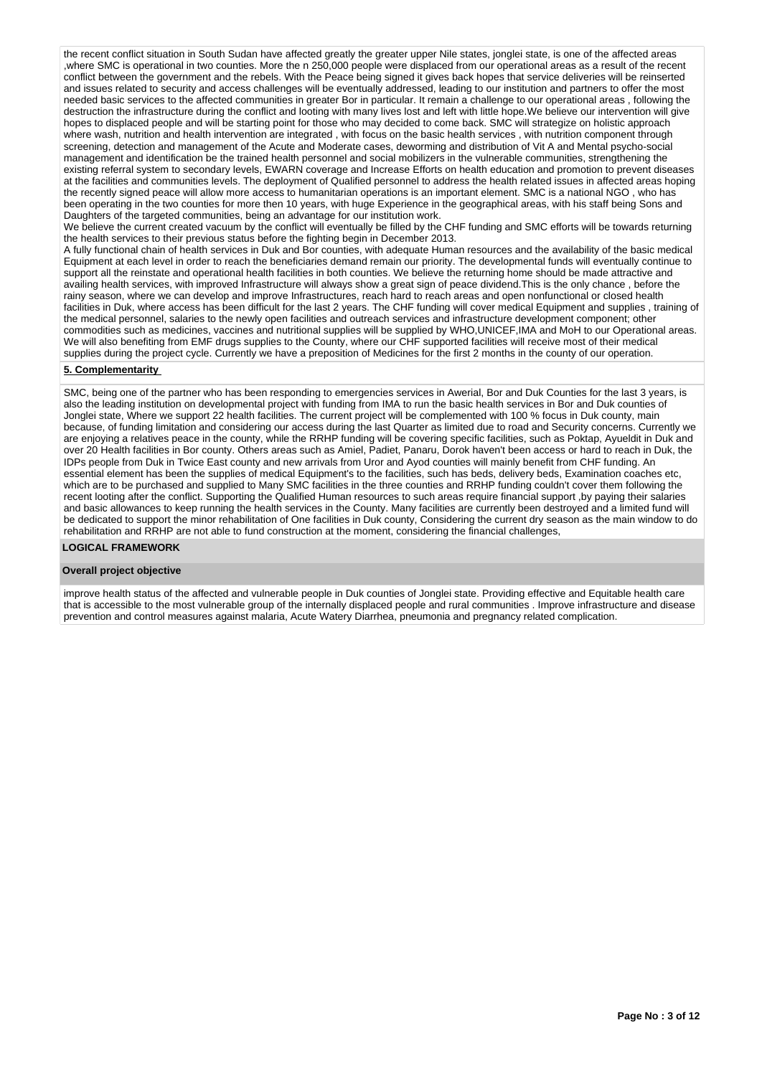the recent conflict situation in South Sudan have affected greatly the greater upper Nile states, jonglei state, is one of the affected areas ,where SMC is operational in two counties. More the n 250,000 people were displaced from our operational areas as a result of the recent conflict between the government and the rebels. With the Peace being signed it gives back hopes that service deliveries will be reinserted and issues related to security and access challenges will be eventually addressed, leading to our institution and partners to offer the most needed basic services to the affected communities in greater Bor in particular. It remain a challenge to our operational areas , following the destruction the infrastructure during the conflict and looting with many lives lost and left with little hope.We believe our intervention will give hopes to displaced people and will be starting point for those who may decided to come back. SMC will strategize on holistic approach where wash, nutrition and health intervention are integrated , with focus on the basic health services , with nutrition component through where wash, nutrition and health intervention are integrated , with focus on the bas screening, detection and management of the Acute and Moderate cases, deworming and distribution of Vit A and Mental psycho-social management and identification be the trained health personnel and social mobilizers in the vulnerable communities, strengthening the existing referral system to secondary levels, EWARN coverage and Increase Efforts on health education and promotion to prevent diseases at the facilities and communities levels. The deployment of Qualified personnel to address the health related issues in affected areas hoping the recently signed peace will allow more access to humanitarian operations is an important element. SMC is a national NGO , who has been operating in the two counties for more then 10 years, with huge Experience in the geographical areas, with his staff being Sons and Daughters of the targeted communities, being an advantage for our institution work.

We believe the current created vacuum by the conflict will eventually be filled by the CHF funding and SMC efforts will be towards returning the health services to their previous status before the fighting begin in December 2013.

A fully functional chain of health services in Duk and Bor counties, with adequate Human resources and the availability of the basic medical Equipment at each level in order to reach the beneficiaries demand remain our priority. The developmental funds will eventually continue to support all the reinstate and operational health facilities in both counties. We believe the returning home should be made attractive and availing health services, with improved Infrastructure will always show a great sign of peace dividend.This is the only chance , before the rainy season, where we can develop and improve Infrastructures, reach hard to reach areas and open nonfunctional or closed health facilities in Duk, where access has been difficult for the last 2 years. The CHF funding will cover medical Equipment and supplies , training of the medical personnel, salaries to the newly open facilities and outreach services and infrastructure development component; other commodities such as medicines, vaccines and nutritional supplies will be supplied by WHO,UNICEF,IMA and MoH to our Operational areas. We will also benefiting from EMF drugs supplies to the County, where our CHF supported facilities will receive most of their medical supplies during the project cycle. Currently we have a preposition of Medicines for the first 2 months in the county of our operation.

## **5. Complementarity**

SMC, being one of the partner who has been responding to emergencies services in Awerial, Bor and Duk Counties for the last 3 years, is also the leading institution on developmental project with funding from IMA to run the basic health services in Bor and Duk counties of Jonglei state, Where we support 22 health facilities. The current project will be complemented with 100 % focus in Duk county, main because, of funding limitation and considering our access during the last Quarter as limited due to road and Security concerns. Currently we are enjoying a relatives peace in the county, while the RRHP funding will be covering specific facilities, such as Poktap, Ayueldit in Duk and over 20 Health facilities in Bor county. Others areas such as Amiel, Padiet, Panaru, Dorok haven't been access or hard to reach in Duk, the IDPs people from Duk in Twice East county and new arrivals from Uror and Ayod counties will mainly benefit from CHF funding. An essential element has been the supplies of medical Equipment's to the facilities, such has beds, delivery beds, Examination coaches etc, which are to be purchased and supplied to Many SMC facilities in the three counties and RRHP funding couldn't cover them following the recent looting after the conflict. Supporting the Qualified Human resources to such areas require financial support, by paying their salaries and basic allowances to keep running the health services in the County. Many facilities are currently been destroyed and a limited fund will be dedicated to support the minor rehabilitation of One facilities in Duk county, Considering the current dry season as the main window to do rehabilitation and RRHP are not able to fund construction at the moment, considering the financial challenges,

## **LOGICAL FRAMEWORK**

#### **Overall project objective**

improve health status of the affected and vulnerable people in Duk counties of Jonglei state. Providing effective and Equitable health care that is accessible to the most vulnerable group of the internally displaced people and rural communities . Improve infrastructure and disease prevention and control measures against malaria, Acute Watery Diarrhea, pneumonia and pregnancy related complication.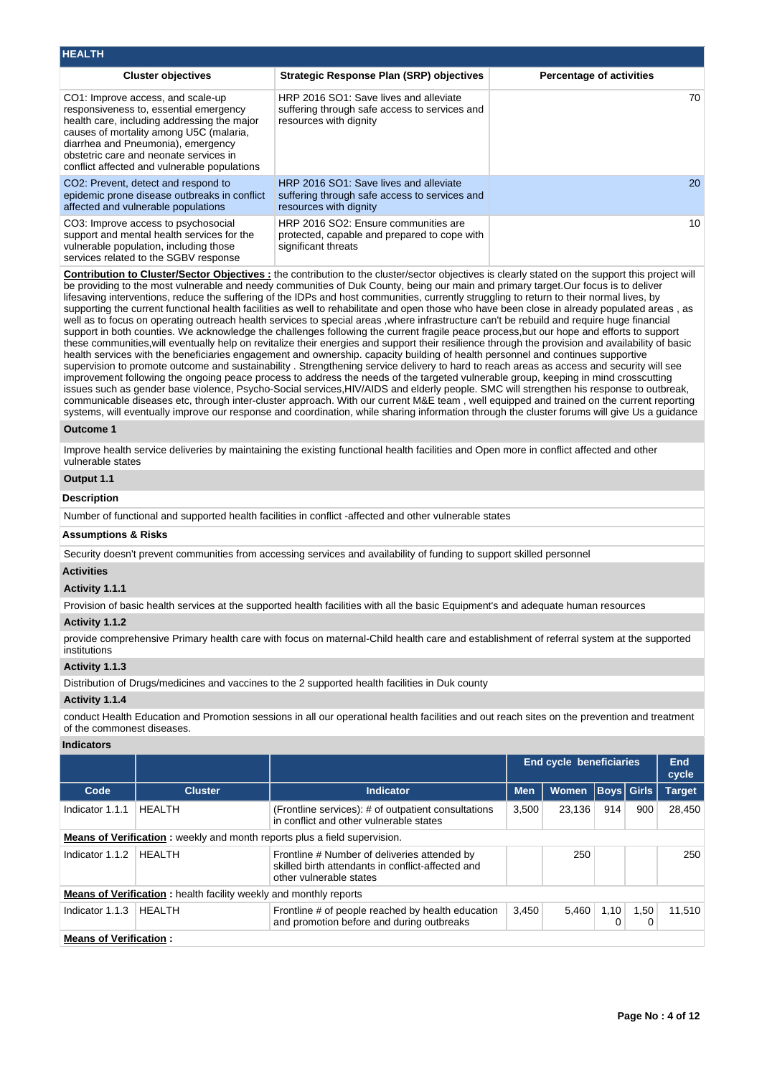| INCALIN                                                                                                                                                                                                                                                                                               |                                                                                                                   |                                 |
|-------------------------------------------------------------------------------------------------------------------------------------------------------------------------------------------------------------------------------------------------------------------------------------------------------|-------------------------------------------------------------------------------------------------------------------|---------------------------------|
| <b>Cluster objectives</b>                                                                                                                                                                                                                                                                             | <b>Strategic Response Plan (SRP) objectives</b>                                                                   | <b>Percentage of activities</b> |
| CO1: Improve access, and scale-up<br>responsiveness to, essential emergency<br>health care, including addressing the major<br>causes of mortality among U5C (malaria,<br>diarrhea and Pneumonia), emergency<br>obstetric care and neonate services in<br>conflict affected and vulnerable populations | HRP 2016 SO1: Save lives and alleviate<br>suffering through safe access to services and<br>resources with dignity | 70                              |
| CO <sub>2</sub> : Prevent, detect and respond to<br>epidemic prone disease outbreaks in conflict<br>affected and vulnerable populations                                                                                                                                                               | HRP 2016 SO1: Save lives and alleviate<br>suffering through safe access to services and<br>resources with dignity | <b>20</b>                       |
| CO3: Improve access to psychosocial<br>support and mental health services for the<br>vulnerable population, including those<br>services related to the SGBV response                                                                                                                                  | HRP 2016 SO2: Ensure communities are<br>protected, capable and prepared to cope with<br>significant threats       | 10                              |

**Contribution to Cluster/Sector Objectives :** the contribution to the cluster/sector objectives is clearly stated on the support this project will be providing to the most vulnerable and needy communities of Duk County, being our main and primary target.Our focus is to deliver lifesaving interventions, reduce the suffering of the IDPs and host communities, currently struggling to return to their normal lives, by supporting the current functional health facilities as well to rehabilitate and open those who have been close in already populated areas , as well as to focus on operating outreach health services to special areas ,where infrastructure can't be rebuild and require huge financial support in both counties. We acknowledge the challenges following the current fragile peace process,but our hope and efforts to support these communities,will eventually help on revitalize their energies and support their resilience through the provision and availability of basic health services with the beneficiaries engagement and ownership. capacity building of health personnel and continues supportive supervision to promote outcome and sustainability . Strengthening service delivery to hard to reach areas as access and security will see improvement following the ongoing peace process to address the needs of the targeted vulnerable group, keeping in mind crosscutting issues such as gender base violence, Psycho-Social services,HIV/AIDS and elderly people. SMC will strengthen his response to outbreak, communicable diseases etc, through inter-cluster approach. With our current M&E team , well equipped and trained on the current reporting systems, will eventually improve our response and coordination, while sharing information through the cluster forums will give Us a guidance

### **Outcome 1**

**HEALTH**

Improve health service deliveries by maintaining the existing functional health facilities and Open more in conflict affected and other vulnerable states

## **Output 1.1**

## **Description**

Number of functional and supported health facilities in conflict -affected and other vulnerable states

## **Assumptions & Risks**

Security doesn't prevent communities from accessing services and availability of funding to support skilled personnel

## **Activities**

## **Activity 1.1.1**

Provision of basic health services at the supported health facilities with all the basic Equipment's and adequate human resources

# **Activity 1.1.2**

provide comprehensive Primary health care with focus on maternal-Child health care and establishment of referral system at the supported institutions

## **Activity 1.1.3**

Distribution of Drugs/medicines and vaccines to the 2 supported health facilities in Duk county

#### **Activity 1.1.4**

conduct Health Education and Promotion sessions in all our operational health facilities and out reach sites on the prevention and treatment of the commonest diseases.

#### **Indicators**

|                                                                                  |                                                                          |                                                                                                                              |                                | <b>End cycle beneficiaries</b> |     | End<br>cycle      |               |
|----------------------------------------------------------------------------------|--------------------------------------------------------------------------|------------------------------------------------------------------------------------------------------------------------------|--------------------------------|--------------------------------|-----|-------------------|---------------|
| Code                                                                             | <b>Cluster</b>                                                           | Indicator                                                                                                                    | <b>Men</b>                     | <b>Women</b>                   |     | <b>Boys</b> Girls | <b>Target</b> |
| Indicator 1.1.1                                                                  | <b>HEALTH</b>                                                            | (Frontline services): # of outpatient consultations<br>in conflict and other vulnerable states                               | 3,500                          | 23.136                         | 914 | 900               | 28,450        |
| <b>Means of Verification:</b> weekly and month reports plus a field supervision. |                                                                          |                                                                                                                              |                                |                                |     |                   |               |
| Indicator 1.1.2                                                                  | HFAI TH                                                                  | Frontline # Number of deliveries attended by<br>skilled birth attendants in conflict-affected and<br>other vulnerable states |                                | 250                            |     |                   | 250           |
|                                                                                  | <b>Means of Verification:</b> health facility weekly and monthly reports |                                                                                                                              |                                |                                |     |                   |               |
| Indicator 1.1.3                                                                  | HFAI TH                                                                  | Frontline # of people reached by health education<br>and promotion before and during outbreaks                               | 3,450<br>5,460<br>1,10<br>1,50 |                                |     |                   |               |
| <b>Means of Verification:</b>                                                    |                                                                          |                                                                                                                              |                                |                                |     |                   |               |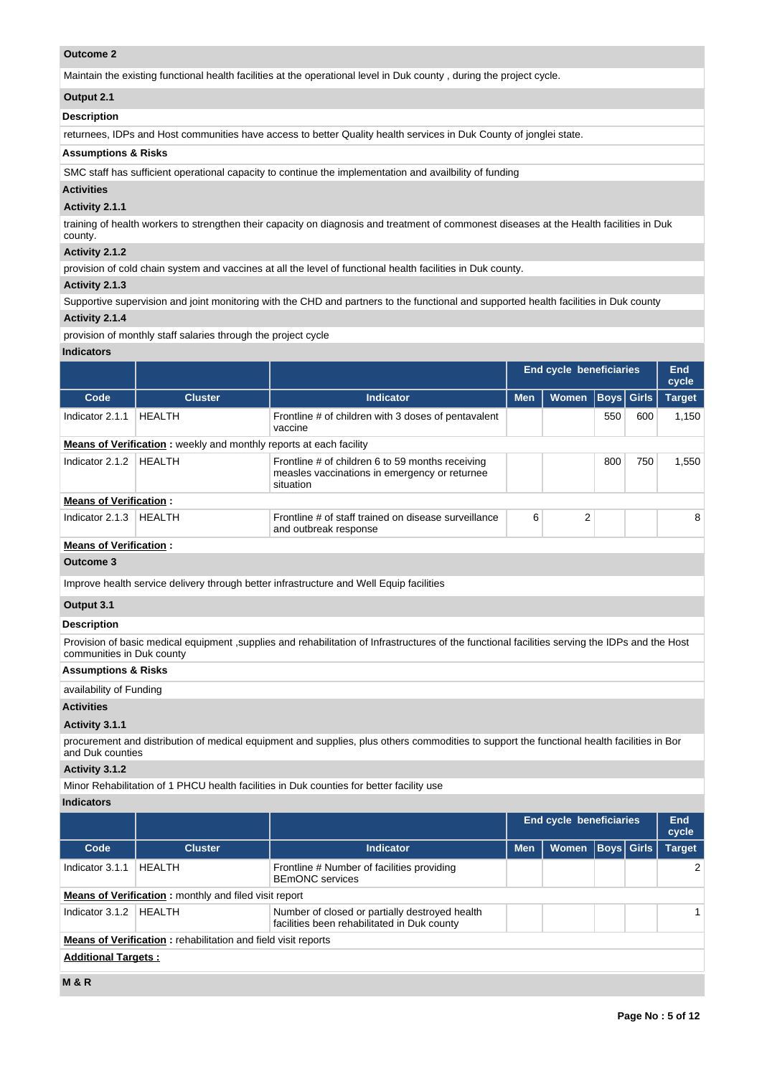## **Outcome 2**

Maintain the existing functional health facilities at the operational level in Duk county , during the project cycle.

## **Output 2.1**

## **Description**

returnees, IDPs and Host communities have access to better Quality health services in Duk County of jonglei state.

## **Assumptions & Risks**

SMC staff has sufficient operational capacity to continue the implementation and availbility of funding

## **Activities**

# **Activity 2.1.1**

training of health workers to strengthen their capacity on diagnosis and treatment of commonest diseases at the Health facilities in Duk county.

# **Activity 2.1.2**

provision of cold chain system and vaccines at all the level of functional health facilities in Duk county.

## **Activity 2.1.3**

Supportive supervision and joint monitoring with the CHD and partners to the functional and supported health facilities in Duk county

# **Activity 2.1.4**

provision of monthly staff salaries through the project cycle

# **Indicators**

|                                |                                                                           |                                                                                                                                                 |            | <b>End cycle beneficiaries</b> |     |                   | End<br>cycle  |
|--------------------------------|---------------------------------------------------------------------------|-------------------------------------------------------------------------------------------------------------------------------------------------|------------|--------------------------------|-----|-------------------|---------------|
| Code                           | <b>Cluster</b>                                                            | <b>Indicator</b>                                                                                                                                | <b>Men</b> | <b>Women</b>                   |     | <b>Boys</b> Girls | <b>Target</b> |
| Indicator 2.1.1                | <b>HEALTH</b>                                                             | Frontline # of children with 3 doses of pentavalent<br>vaccine                                                                                  |            |                                | 550 | 600               | 1,150         |
|                                | <b>Means of Verification:</b> weekly and monthly reports at each facility |                                                                                                                                                 |            |                                |     |                   |               |
| Indicator 2.1.2                | <b>HEALTH</b>                                                             | Frontline # of children 6 to 59 months receiving<br>measles vaccinations in emergency or returnee<br>situation                                  |            |                                | 800 | 750               | 1,550         |
| <b>Means of Verification:</b>  |                                                                           |                                                                                                                                                 |            |                                |     |                   |               |
| Indicator 2.1.3                | <b>HEALTH</b>                                                             | Frontline # of staff trained on disease surveillance<br>and outbreak response                                                                   | 6          | $\overline{2}$                 |     |                   | 8             |
| <b>Means of Verification:</b>  |                                                                           |                                                                                                                                                 |            |                                |     |                   |               |
| Outcome 3                      |                                                                           |                                                                                                                                                 |            |                                |     |                   |               |
|                                |                                                                           | Improve health service delivery through better infrastructure and Well Equip facilities                                                         |            |                                |     |                   |               |
| Output 3.1                     |                                                                           |                                                                                                                                                 |            |                                |     |                   |               |
| <b>Description</b>             |                                                                           |                                                                                                                                                 |            |                                |     |                   |               |
| communities in Duk county      |                                                                           | Provision of basic medical equipment, supplies and rehabilitation of Infrastructures of the functional facilities serving the IDPs and the Host |            |                                |     |                   |               |
| <b>Assumptions &amp; Risks</b> |                                                                           |                                                                                                                                                 |            |                                |     |                   |               |
| availability of Funding        |                                                                           |                                                                                                                                                 |            |                                |     |                   |               |
| <b>Activities</b>              |                                                                           |                                                                                                                                                 |            |                                |     |                   |               |
| Activity 3.1.1                 |                                                                           |                                                                                                                                                 |            |                                |     |                   |               |
|                                |                                                                           | procurement and distribution of medical equipment and supplies, plus others commodities to support the functional health facilities in Bor      |            |                                |     |                   |               |

## and Duk counties

## **Activity 3.1.2**

Minor Rehabilitation of 1 PHCU health facilities in Duk counties for better facility use

**Indicators**

|                            |                                                                      |                                                                                               |            | End cycle beneficiaries |                   | End<br>cycle |               |  |  |  |
|----------------------------|----------------------------------------------------------------------|-----------------------------------------------------------------------------------------------|------------|-------------------------|-------------------|--------------|---------------|--|--|--|
| Code                       | <b>Cluster</b>                                                       | Indicator                                                                                     | <b>Men</b> | <b>Women</b>            | <b>Boys Girls</b> |              | <b>Target</b> |  |  |  |
| Indicator 3.1.1            | <b>HFAITH</b>                                                        | Frontline # Number of facilities providing<br><b>BEMONC</b> services                          |            |                         |                   |              | $\mathcal{P}$ |  |  |  |
|                            | <b>Means of Verification:</b> monthly and filed visit report         |                                                                                               |            |                         |                   |              |               |  |  |  |
| Indicator 3.1.2            | <b>HEALTH</b>                                                        | Number of closed or partially destroyed health<br>facilities been rehabilitated in Duk county |            |                         |                   |              |               |  |  |  |
|                            | <b>Means of Verification:</b> rehabilitation and field visit reports |                                                                                               |            |                         |                   |              |               |  |  |  |
| <b>Additional Targets:</b> |                                                                      |                                                                                               |            |                         |                   |              |               |  |  |  |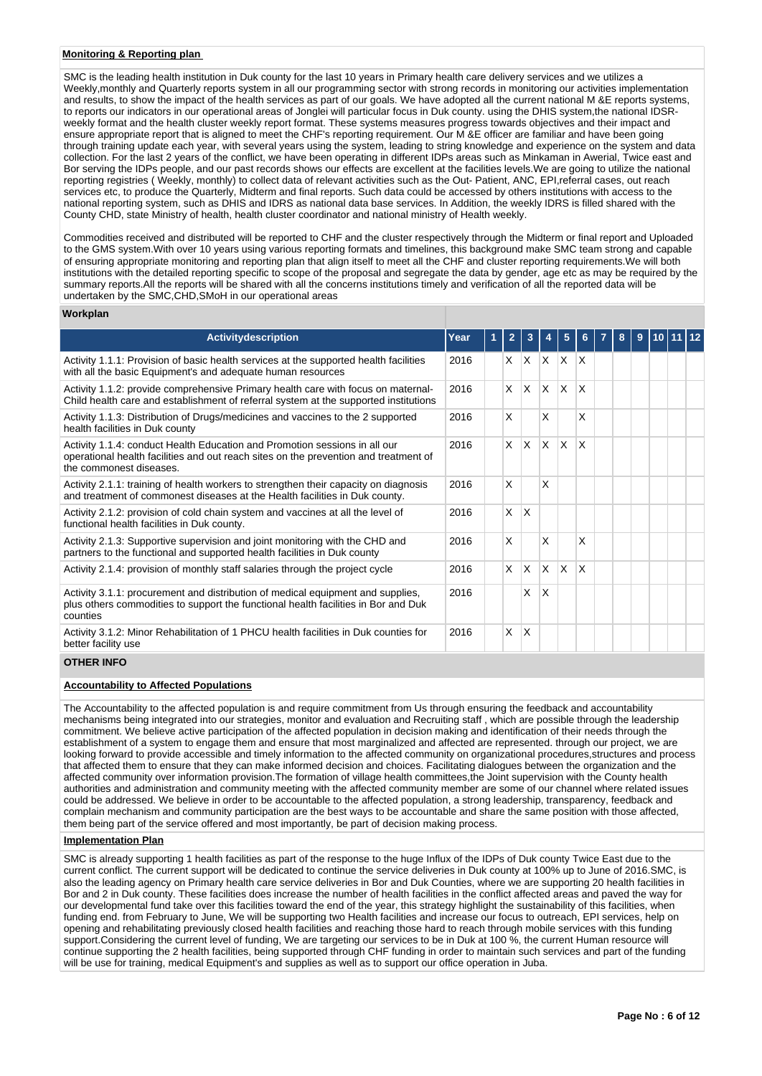## **Monitoring & Reporting plan**

SMC is the leading health institution in Duk county for the last 10 years in Primary health care delivery services and we utilizes a Weekly,monthly and Quarterly reports system in all our programming sector with strong records in monitoring our activities implementation and results, to show the impact of the health services as part of our goals. We have adopted all the current national M &E reports systems, to reports our indicators in our operational areas of Jonglei will particular focus in Duk county. using the DHIS system,the national IDSRweekly format and the health cluster weekly report format. These systems measures progress towards objectives and their impact and ensure appropriate report that is aligned to meet the CHF's reporting requirement. Our M &E officer are familiar and have been going through training update each year, with several years using the system, leading to string knowledge and experience on the system and data collection. For the last 2 years of the conflict, we have been operating in different IDPs areas such as Minkaman in Awerial, Twice east and Bor serving the IDPs people, and our past records shows our effects are excellent at the facilities levels.We are going to utilize the national reporting registries ( Weekly, monthly) to collect data of relevant activities such as the Out- Patient, ANC, EPI,referral cases, out reach services etc, to produce the Quarterly, Midterm and final reports. Such data could be accessed by others institutions with access to the national reporting system, such as DHIS and IDRS as national data base services. In Addition, the weekly IDRS is filled shared with the County CHD, state Ministry of health, health cluster coordinator and national ministry of Health weekly.

Commodities received and distributed will be reported to CHF and the cluster respectively through the Midterm or final report and Uploaded to the GMS system.With over 10 years using various reporting formats and timelines, this background make SMC team strong and capable of ensuring appropriate monitoring and reporting plan that align itself to meet all the CHF and cluster reporting requirements.We will both institutions with the detailed reporting specific to scope of the proposal and segregate the data by gender, age etc as may be required by the summary reports.All the reports will be shared with all the concerns institutions timely and verification of all the reported data will be undertaken by the SMC, CHD, SMoH in our operational areas

#### **Workplan**

| <b>Activitydescription</b>                                                                                                                                                                    | Year | $\overline{2}$ | 3                       |              | 5                       |          | 8 | 9 | 10 11 12 |  |
|-----------------------------------------------------------------------------------------------------------------------------------------------------------------------------------------------|------|----------------|-------------------------|--------------|-------------------------|----------|---|---|----------|--|
| Activity 1.1.1: Provision of basic health services at the supported health facilities<br>with all the basic Equipment's and adequate human resources                                          | 2016 | X.             |                         | $ X $ $ X $  |                         | ΙX       |   |   |          |  |
| Activity 1.1.2: provide comprehensive Primary health care with focus on maternal-<br>Child health care and establishment of referral system at the supported institutions                     | 2016 | X              | $\mathsf{X}$            | $\times$     | $\mathsf{X}$            | X        |   |   |          |  |
| Activity 1.1.3: Distribution of Drugs/medicines and vaccines to the 2 supported<br>health facilities in Duk county                                                                            | 2016 | X              |                         | X            |                         | X        |   |   |          |  |
| Activity 1.1.4: conduct Health Education and Promotion sessions in all our<br>operational health facilities and out reach sites on the prevention and treatment of<br>the commonest diseases. | 2016 | $\times$       | ΙX.                     | IX.          | X                       | $\times$ |   |   |          |  |
| Activity 2.1.1: training of health workers to strengthen their capacity on diagnosis<br>and treatment of commonest diseases at the Health facilities in Duk county.                           | 2016 | X              |                         | X            |                         |          |   |   |          |  |
| Activity 2.1.2: provision of cold chain system and vaccines at all the level of<br>functional health facilities in Duk county.                                                                | 2016 | $\times$       | ΙX.                     |              |                         |          |   |   |          |  |
| Activity 2.1.3: Supportive supervision and joint monitoring with the CHD and<br>partners to the functional and supported health facilities in Duk county                                      | 2016 | X              |                         | X            |                         | X        |   |   |          |  |
| Activity 2.1.4: provision of monthly staff salaries through the project cycle                                                                                                                 | 2016 | X              | ΙX                      | $\mathsf{x}$ | $\overline{\mathsf{x}}$ | X        |   |   |          |  |
| Activity 3.1.1: procurement and distribution of medical equipment and supplies,<br>plus others commodities to support the functional health facilities in Bor and Duk<br>counties             | 2016 |                | X.                      | X            |                         |          |   |   |          |  |
| Activity 3.1.2: Minor Rehabilitation of 1 PHCU health facilities in Duk counties for<br>better facility use                                                                                   | 2016 | X              | $\overline{\mathsf{x}}$ |              |                         |          |   |   |          |  |
| ATIIPDIBIPA                                                                                                                                                                                   |      |                |                         |              |                         |          |   |   |          |  |

### **OTHER INFO**

#### **Accountability to Affected Populations**

The Accountability to the affected population is and require commitment from Us through ensuring the feedback and accountability mechanisms being integrated into our strategies, monitor and evaluation and Recruiting staff , which are possible through the leadership commitment. We believe active participation of the affected population in decision making and identification of their needs through the establishment of a system to engage them and ensure that most marginalized and affected are represented. through our project, we are looking forward to provide accessible and timely information to the affected community on organizational procedures,structures and process that affected them to ensure that they can make informed decision and choices. Facilitating dialogues between the organization and the affected community over information provision.The formation of village health committees,the Joint supervision with the County health authorities and administration and community meeting with the affected community member are some of our channel where related issues could be addressed. We believe in order to be accountable to the affected population, a strong leadership, transparency, feedback and complain mechanism and community participation are the best ways to be accountable and share the same position with those affected, them being part of the service offered and most importantly, be part of decision making process.

#### **Implementation Plan**

SMC is already supporting 1 health facilities as part of the response to the huge Influx of the IDPs of Duk county Twice East due to the current conflict. The current support will be dedicated to continue the service deliveries in Duk county at 100% up to June of 2016.SMC, is also the leading agency on Primary health care service deliveries in Bor and Duk Counties, where we are supporting 20 health facilities in Bor and 2 in Duk county. These facilities does increase the number of health facilities in the conflict affected areas and paved the way for our developmental fund take over this facilities toward the end of the year, this strategy highlight the sustainability of this facilities, when funding end. from February to June, We will be supporting two Health facilities and increase our focus to outreach, EPI services, help on opening and rehabilitating previously closed health facilities and reaching those hard to reach through mobile services with this funding support.Considering the current level of funding, We are targeting our services to be in Duk at 100 %, the current Human resource will continue supporting the 2 health facilities, being supported through CHF funding in order to maintain such services and part of the funding will be use for training, medical Equipment's and supplies as well as to support our office operation in Juba.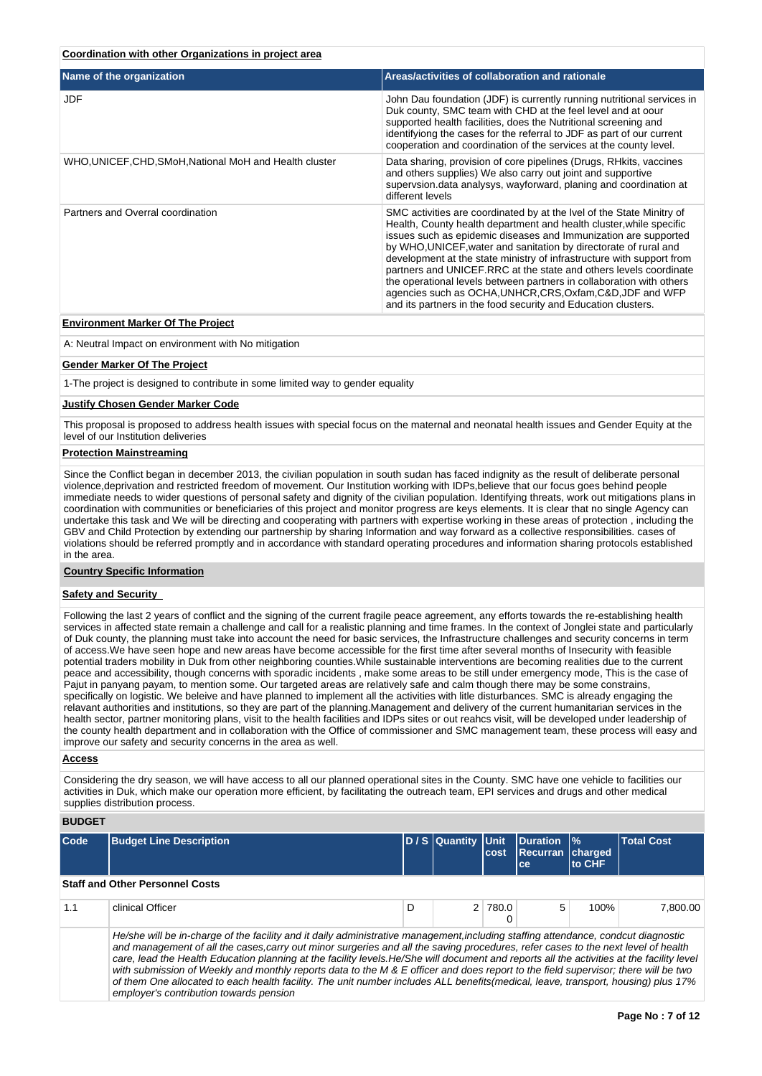### **Coordination with other Organizations in project area**

| Name of the organization                                | Areas/activities of collaboration and rationale                                                                                                                                                                                                                                                                                                                                                                                                                                                                                                                                                                                          |
|---------------------------------------------------------|------------------------------------------------------------------------------------------------------------------------------------------------------------------------------------------------------------------------------------------------------------------------------------------------------------------------------------------------------------------------------------------------------------------------------------------------------------------------------------------------------------------------------------------------------------------------------------------------------------------------------------------|
| JDF                                                     | John Dau foundation (JDF) is currently running nutritional services in<br>Duk county, SMC team with CHD at the feel level and at oour<br>supported health facilities, does the Nutritional screening and<br>identifyiong the cases for the referral to JDF as part of our current<br>cooperation and coordination of the services at the county level.                                                                                                                                                                                                                                                                                   |
| WHO, UNICEF, CHD, SMoH, National MoH and Health cluster | Data sharing, provision of core pipelines (Drugs, RHkits, vaccines<br>and others supplies) We also carry out joint and supportive<br>supervsion.data analysys, wayforward, planing and coordination at<br>different levels                                                                                                                                                                                                                                                                                                                                                                                                               |
| Partners and Overral coordination                       | SMC activities are coordinated by at the Ivel of the State Minitry of<br>Health, County health department and health cluster, while specific<br>issues such as epidemic diseases and Immunization are supported<br>by WHO, UNICEF, water and sanitation by directorate of rural and<br>development at the state ministry of infrastructure with support from<br>partners and UNICEF.RRC at the state and others levels coordinate<br>the operational levels between partners in collaboration with others<br>agencies such as OCHA, UNHCR, CRS, Oxfam, C&D, JDF and WFP<br>and its partners in the food security and Education clusters. |

## **Environment Marker Of The Project**

A: Neutral Impact on environment with No mitigation

#### **Gender Marker Of The Project**

1-The project is designed to contribute in some limited way to gender equality

#### **Justify Chosen Gender Marker Code**

This proposal is proposed to address health issues with special focus on the maternal and neonatal health issues and Gender Equity at the level of our Institution deliveries

## **Protection Mainstreaming**

Since the Conflict began in december 2013, the civilian population in south sudan has faced indignity as the result of deliberate personal violence,deprivation and restricted freedom of movement. Our Institution working with IDPs,believe that our focus goes behind people immediate needs to wider questions of personal safety and dignity of the civilian population. Identifying threats, work out mitigations plans in coordination with communities or beneficiaries of this project and monitor progress are keys elements. It is clear that no single Agency can undertake this task and We will be directing and cooperating with partners with expertise working in these areas of protection , including the GBV and Child Protection by extending our partnership by sharing Information and way forward as a collective responsibilities. cases of violations should be referred promptly and in accordance with standard operating procedures and information sharing protocols established in the area.

### **Country Specific Information**

## **Safety and Security**

Following the last 2 years of conflict and the signing of the current fragile peace agreement, any efforts towards the re-establishing health services in affected state remain a challenge and call for a realistic planning and time frames. In the context of Jonglei state and particularly of Duk county, the planning must take into account the need for basic services, the Infrastructure challenges and security concerns in term of access.We have seen hope and new areas have become accessible for the first time after several months of Insecurity with feasible potential traders mobility in Duk from other neighboring counties.While sustainable interventions are becoming realities due to the current peace and accessibility, though concerns with sporadic incidents , make some areas to be still under emergency mode, This is the case of Pajut in panyang payam, to mention some. Our targeted areas are relatively safe and calm though there may be some constrains, specifically on logistic. We beleive and have planned to implement all the activities with litle disturbances. SMC is already engaging the relavant authorities and institutions, so they are part of the planning.Management and delivery of the current humanitarian services in the health sector, partner monitoring plans, visit to the health facilities and IDPs sites or out reahcs visit, will be developed under leadership of the county health department and in collaboration with the Office of commissioner and SMC management team, these process will easy and improve our safety and security concerns in the area as well.

#### **Access**

Considering the dry season, we will have access to all our planned operational sites in the County. SMC have one vehicle to facilities our activities in Duk, which make our operation more efficient, by facilitating the outreach team, EPI services and drugs and other medical supplies distribution process.

**BUDGET**

| Code | <b>Budget Line Description</b>                                                                                                     | D / S Quantity Unit |  | cost    | <b>Duration  %</b><br>Recurran charged<br>ce | lto CHF | <b>Total Cost</b> |  |  |  |  |
|------|------------------------------------------------------------------------------------------------------------------------------------|---------------------|--|---------|----------------------------------------------|---------|-------------------|--|--|--|--|
|      | <b>Staff and Other Personnel Costs</b>                                                                                             |                     |  |         |                                              |         |                   |  |  |  |  |
| 1.1  | clinical Officer                                                                                                                   | D                   |  | 2 780.0 | 5                                            | 100%    | 7.800.00          |  |  |  |  |
|      | He/she will be in-charge of the facility and it daily administrative management, including staffing attendance, condcut diagnostic |                     |  |         |                                              |         |                   |  |  |  |  |

and management of all the cases,carry out minor surgeries and all the saving procedures, refer cases to the next level of health care, lead the Health Education planning at the facility levels. He/She will document and reports all the activities at the facility level with submission of Weekly and monthly reports data to the M & E officer and does report to the field supervisor; there will be two of them One allocated to each health facility. The unit number includes ALL benefits(medical, leave, transport, housing) plus 17% employer's contribution towards pension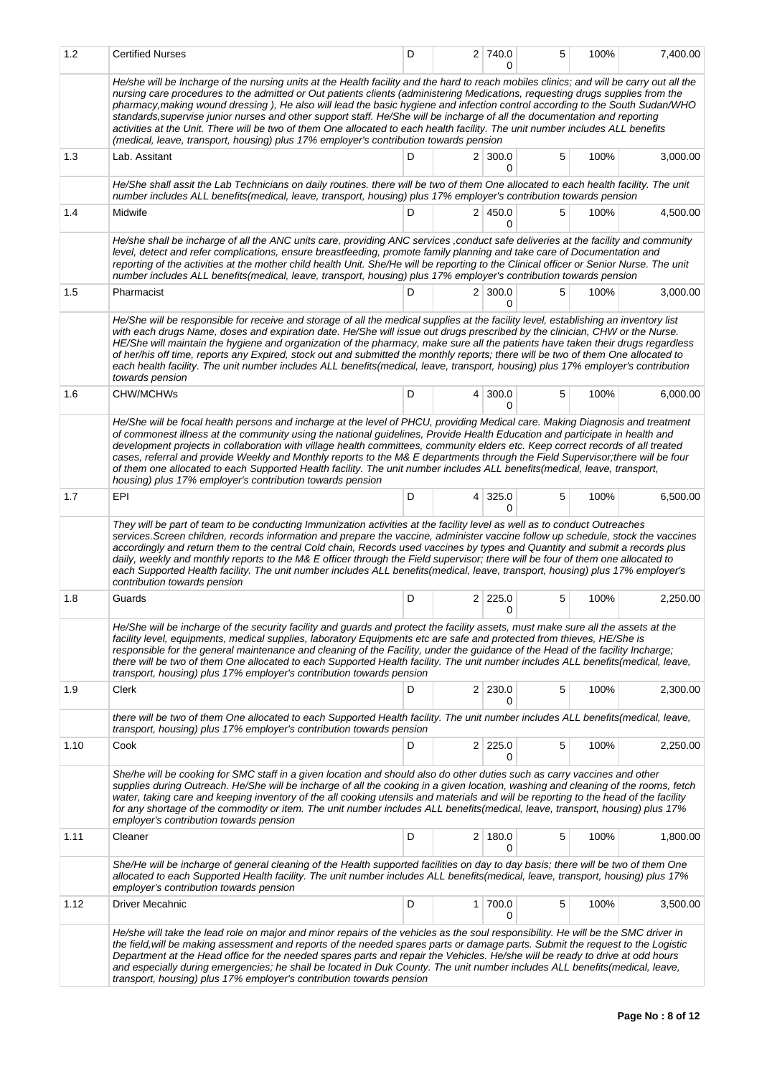| 1.2  | <b>Certified Nurses</b>                                                                                                                                                                                                                                                                                                                                                                                                                                                                                                                                                                                                                                                                                                                                             | D |                | 2 740.0<br>O        | 5 | 100% | 7,400.00 |
|------|---------------------------------------------------------------------------------------------------------------------------------------------------------------------------------------------------------------------------------------------------------------------------------------------------------------------------------------------------------------------------------------------------------------------------------------------------------------------------------------------------------------------------------------------------------------------------------------------------------------------------------------------------------------------------------------------------------------------------------------------------------------------|---|----------------|---------------------|---|------|----------|
|      | He/she will be Incharge of the nursing units at the Health facility and the hard to reach mobiles clinics; and will be carry out all the<br>nursing care procedures to the admitted or Out patients clients (administering Medications, requesting drugs supplies from the<br>pharmacy, making wound dressing), He also will lead the basic hygiene and infection control according to the South Sudan/WHO<br>standards, supervise junior nurses and other support staff. He/She will be incharge of all the documentation and reporting<br>activities at the Unit. There will be two of them One allocated to each health facility. The unit number includes ALL benefits<br>(medical, leave, transport, housing) plus 17% employer's contribution towards pension |   |                |                     |   |      |          |
| 1.3  | Lab. Assitant                                                                                                                                                                                                                                                                                                                                                                                                                                                                                                                                                                                                                                                                                                                                                       | D |                | $2 \mid 300.0$<br>0 | 5 | 100% | 3,000.00 |
|      | He/She shall assit the Lab Technicians on daily routines. there will be two of them One allocated to each health facility. The unit<br>number includes ALL benefits(medical, leave, transport, housing) plus 17% employer's contribution towards pension                                                                                                                                                                                                                                                                                                                                                                                                                                                                                                            |   |                |                     |   |      |          |
| 1.4  | Midwife                                                                                                                                                                                                                                                                                                                                                                                                                                                                                                                                                                                                                                                                                                                                                             | D |                | 2 450.0<br>0        | 5 | 100% | 4,500.00 |
|      | He/she shall be incharge of all the ANC units care, providing ANC services, conduct safe deliveries at the facility and community<br>level, detect and refer complications, ensure breastfeeding, promote family planning and take care of Documentation and<br>reporting of the activities at the mother child health Unit. She/He will be reporting to the Clinical officer or Senior Nurse. The unit<br>number includes ALL benefits(medical, leave, transport, housing) plus 17% employer's contribution towards pension                                                                                                                                                                                                                                        |   |                |                     |   |      |          |
| 1.5  | Pharmacist                                                                                                                                                                                                                                                                                                                                                                                                                                                                                                                                                                                                                                                                                                                                                          | D |                | $2 \mid 300.0$<br>0 | 5 | 100% | 3,000.00 |
|      | He/She will be responsible for receive and storage of all the medical supplies at the facility level, establishing an inventory list<br>with each drugs Name, doses and expiration date. He/She will issue out drugs prescribed by the clinician, CHW or the Nurse.<br>HE/She will maintain the hygiene and organization of the pharmacy, make sure all the patients have taken their drugs regardless<br>of her/his off time, reports any Expired, stock out and submitted the monthly reports; there will be two of them One allocated to<br>each health facility. The unit number includes ALL benefits(medical, leave, transport, housing) plus 17% employer's contribution<br>towards pension                                                                  |   |                |                     |   |      |          |
| 1.6  | CHW/MCHWs                                                                                                                                                                                                                                                                                                                                                                                                                                                                                                                                                                                                                                                                                                                                                           | D | $\overline{4}$ | 300.0<br>0          | 5 | 100% | 6,000.00 |
|      | He/She will be focal health persons and incharge at the level of PHCU, providing Medical care. Making Diagnosis and treatment<br>of commonest illness at the community using the national guidelines, Provide Health Education and participate in health and<br>development projects in collaboration with village health committees, community elders etc. Keep correct records of all treated<br>cases, referral and provide Weekly and Monthly reports to the M& E departments through the Field Supervisor;there will be four<br>of them one allocated to each Supported Health facility. The unit number includes ALL benefits(medical, leave, transport,<br>housing) plus 17% employer's contribution towards pension                                         |   |                |                     |   |      |          |
| 1.7  | EPI                                                                                                                                                                                                                                                                                                                                                                                                                                                                                                                                                                                                                                                                                                                                                                 | D | $\vert$        | 325.0<br>0          | 5 | 100% | 6,500.00 |
|      | They will be part of team to be conducting Immunization activities at the facility level as well as to conduct Outreaches<br>services. Screen children, records information and prepare the vaccine, administer vaccine follow up schedule, stock the vaccines<br>accordingly and return them to the central Cold chain, Records used vaccines by types and Quantity and submit a records plus<br>daily, weekly and monthly reports to the M& E officer through the Field supervisor; there will be four of them one allocated to<br>each Supported Health facility. The unit number includes ALL benefits (medical, leave, transport, housing) plus 17% employer's<br>contribution towards pension                                                                 |   |                |                     |   |      |          |
| 1.8  | Guards                                                                                                                                                                                                                                                                                                                                                                                                                                                                                                                                                                                                                                                                                                                                                              | D |                | $2 \mid 225.0$<br>0 | 5 | 100% | 2,250.00 |
|      | He/She will be incharge of the security facility and guards and protect the facility assets, must make sure all the assets at the<br>facility level, equipments, medical supplies, laboratory Equipments etc are safe and protected from thieves, HE/She is<br>responsible for the general maintenance and cleaning of the Facility, under the guidance of the Head of the facility Incharge;<br>there will be two of them One allocated to each Supported Health facility. The unit number includes ALL benefits(medical, leave,<br>transport, housing) plus 17% employer's contribution towards pension                                                                                                                                                           |   |                |                     |   |      |          |
| 1.9  | Clerk                                                                                                                                                                                                                                                                                                                                                                                                                                                                                                                                                                                                                                                                                                                                                               | D |                | $2 \mid 230.0$<br>0 | 5 | 100% | 2,300.00 |
|      | there will be two of them One allocated to each Supported Health facility. The unit number includes ALL benefits(medical, leave,<br>transport, housing) plus 17% employer's contribution towards pension                                                                                                                                                                                                                                                                                                                                                                                                                                                                                                                                                            |   |                |                     |   |      |          |
| 1.10 | Cook                                                                                                                                                                                                                                                                                                                                                                                                                                                                                                                                                                                                                                                                                                                                                                | D |                | $2 \mid 225.0$<br>0 | 5 | 100% | 2,250.00 |
|      | She/he will be cooking for SMC staff in a given location and should also do other duties such as carry vaccines and other<br>supplies during Outreach. He/She will be incharge of all the cooking in a given location, washing and cleaning of the rooms, fetch<br>water, taking care and keeping inventory of the all cooking utensils and materials and will be reporting to the head of the facility<br>for any shortage of the commodity or item. The unit number includes ALL benefits(medical, leave, transport, housing) plus 17%<br>employer's contribution towards pension                                                                                                                                                                                 |   |                |                     |   |      |          |
| 1.11 | Cleaner                                                                                                                                                                                                                                                                                                                                                                                                                                                                                                                                                                                                                                                                                                                                                             | D |                | $2 \mid 180.0$<br>0 | 5 | 100% | 1,800.00 |
|      | She/He will be incharge of general cleaning of the Health supported facilities on day to day basis; there will be two of them One<br>allocated to each Supported Health facility. The unit number includes ALL benefits(medical, leave, transport, housing) plus 17%<br>employer's contribution towards pension                                                                                                                                                                                                                                                                                                                                                                                                                                                     |   |                |                     |   |      |          |
| 1.12 | Driver Mecahnic                                                                                                                                                                                                                                                                                                                                                                                                                                                                                                                                                                                                                                                                                                                                                     | D |                | $1 \mid 700.0$<br>0 | 5 | 100% | 3,500.00 |
|      | He/she will take the lead role on major and minor repairs of the vehicles as the soul responsibility. He will be the SMC driver in<br>the field, will be making assessment and reports of the needed spares parts or damage parts. Submit the request to the Logistic<br>Department at the Head office for the needed spares parts and repair the Vehicles. He/she will be ready to drive at odd hours<br>and especially during emergencies; he shall be located in Duk County. The unit number includes ALL benefits(medical, leave,<br>transport, housing) plus 17% employer's contribution towards pension                                                                                                                                                       |   |                |                     |   |      |          |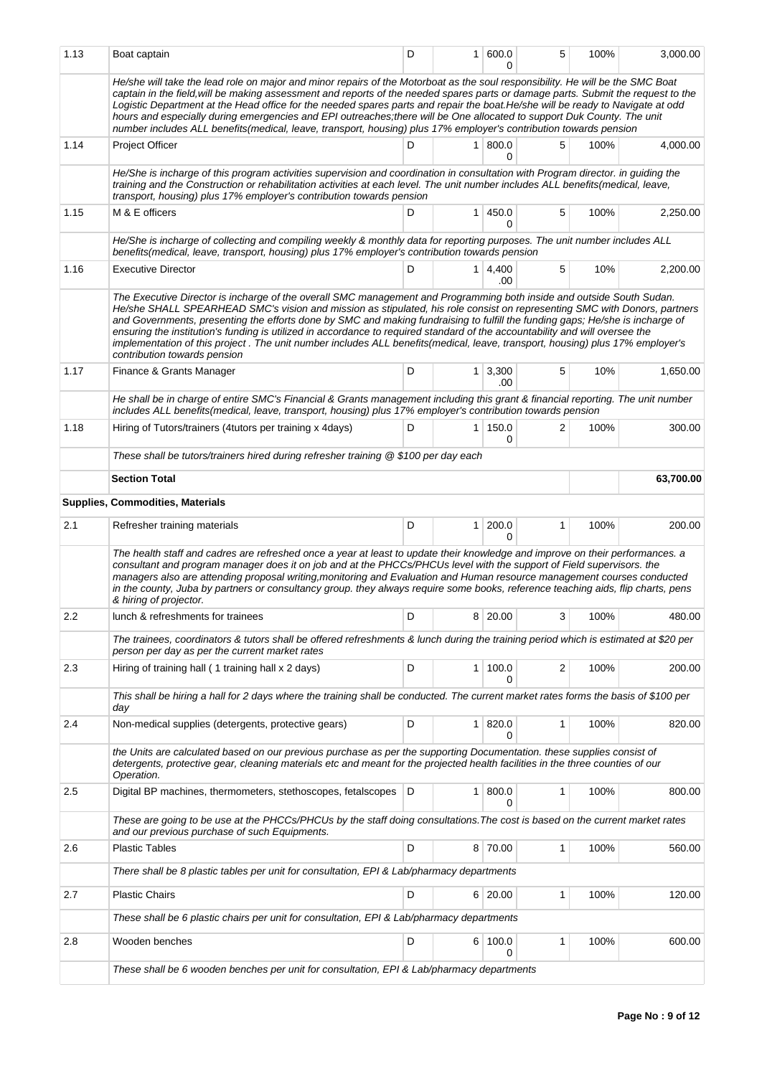|      | Boat captain                                                                                                                                                                                                                                                                                                                                                                                                                                                                                                                                                                                                                                                                                                                                                     | D |                | 1   600.0<br>0      | 5            | 100% | 3,000.00  |
|------|------------------------------------------------------------------------------------------------------------------------------------------------------------------------------------------------------------------------------------------------------------------------------------------------------------------------------------------------------------------------------------------------------------------------------------------------------------------------------------------------------------------------------------------------------------------------------------------------------------------------------------------------------------------------------------------------------------------------------------------------------------------|---|----------------|---------------------|--------------|------|-----------|
|      | He/she will take the lead role on major and minor repairs of the Motorboat as the soul responsibility. He will be the SMC Boat<br>captain in the field, will be making assessment and reports of the needed spares parts or damage parts. Submit the request to the<br>Logistic Department at the Head office for the needed spares parts and repair the boat.He/she will be ready to Navigate at odd<br>hours and especially during emergencies and EPI outreaches; there will be One allocated to support Duk County. The unit<br>number includes ALL benefits(medical, leave, transport, housing) plus 17% employer's contribution towards pension                                                                                                            |   |                |                     |              |      |           |
| 1.14 | <b>Project Officer</b>                                                                                                                                                                                                                                                                                                                                                                                                                                                                                                                                                                                                                                                                                                                                           | D |                | 1   800.0<br>0      | 5            | 100% | 4,000.00  |
|      | He/She is incharge of this program activities supervision and coordination in consultation with Program director. in guiding the<br>training and the Construction or rehabilitation activities at each level. The unit number includes ALL benefits(medical, leave,<br>transport, housing) plus 17% employer's contribution towards pension                                                                                                                                                                                                                                                                                                                                                                                                                      |   |                |                     |              |      |           |
| 1.15 | M & E officers                                                                                                                                                                                                                                                                                                                                                                                                                                                                                                                                                                                                                                                                                                                                                   | D | $\mathbf{1}$   | 450.0<br>0          | 5            | 100% | 2,250.00  |
|      | He/She is incharge of collecting and compiling weekly & monthly data for reporting purposes. The unit number includes ALL<br>benefits(medical, leave, transport, housing) plus 17% employer's contribution towards pension                                                                                                                                                                                                                                                                                                                                                                                                                                                                                                                                       |   |                |                     |              |      |           |
| 1.16 | <b>Executive Director</b>                                                                                                                                                                                                                                                                                                                                                                                                                                                                                                                                                                                                                                                                                                                                        | D |                | $1 \, 4.400$<br>.00 | 5            | 10%  | 2,200.00  |
| 1.17 | The Executive Director is incharge of the overall SMC management and Programming both inside and outside South Sudan.<br>He/she SHALL SPEARHEAD SMC's vision and mission as stipulated, his role consist on representing SMC with Donors, partners<br>and Governments, presenting the efforts done by SMC and making fundraising to fulfill the funding gaps; He/she is incharge of<br>ensuring the institution's funding is utilized in accordance to required standard of the accountability and will oversee the<br>implementation of this project. The unit number includes ALL benefits (medical, leave, transport, housing) plus 17% employer's<br>contribution towards pension<br>D<br>$1 \mid 3,300$<br>5<br>Finance & Grants Manager<br>10%<br>1,650.00 |   |                |                     |              |      |           |
|      | He shall be in charge of entire SMC's Financial & Grants management including this grant & financial reporting. The unit number<br>includes ALL benefits(medical, leave, transport, housing) plus 17% employer's contribution towards pension                                                                                                                                                                                                                                                                                                                                                                                                                                                                                                                    |   |                | .00                 |              |      |           |
| 1.18 | Hiring of Tutors/trainers (4tutors per training x 4days)                                                                                                                                                                                                                                                                                                                                                                                                                                                                                                                                                                                                                                                                                                         | D | $\mathbf{1}$   | 150.0<br>0          | 2            | 100% | 300.00    |
|      | These shall be tutors/trainers hired during refresher training @ \$100 per day each                                                                                                                                                                                                                                                                                                                                                                                                                                                                                                                                                                                                                                                                              |   |                |                     |              |      |           |
|      | <b>Section Total</b>                                                                                                                                                                                                                                                                                                                                                                                                                                                                                                                                                                                                                                                                                                                                             |   |                |                     |              |      | 63,700.00 |
|      | Supplies, Commodities, Materials                                                                                                                                                                                                                                                                                                                                                                                                                                                                                                                                                                                                                                                                                                                                 |   |                |                     |              |      |           |
| 2.1  | Refresher training materials                                                                                                                                                                                                                                                                                                                                                                                                                                                                                                                                                                                                                                                                                                                                     | D | 1 <sup>1</sup> | 200.0<br>0          | $\mathbf{1}$ | 100% | 200.00    |
|      | The health staff and cadres are refreshed once a year at least to update their knowledge and improve on their performances. a<br>consultant and program manager does it on job and at the PHCCs/PHCUs level with the support of Field supervisors. the<br>managers also are attending proposal writing, monitoring and Evaluation and Human resource management courses conducted<br>in the county, Juba by partners or consultancy group. they always require some books, reference teaching aids, flip charts, pens<br>& hiring of projector.                                                                                                                                                                                                                  |   |                |                     |              |      |           |
|      |                                                                                                                                                                                                                                                                                                                                                                                                                                                                                                                                                                                                                                                                                                                                                                  |   |                |                     |              |      |           |
| 2.2  | lunch & refreshments for trainees                                                                                                                                                                                                                                                                                                                                                                                                                                                                                                                                                                                                                                                                                                                                | D | 8              | 20.00               | 3            | 100% | 480.00    |
|      | The trainees, coordinators & tutors shall be offered refreshments & lunch during the training period which is estimated at \$20 per<br>person per day as per the current market rates                                                                                                                                                                                                                                                                                                                                                                                                                                                                                                                                                                            |   |                |                     |              |      |           |
| 2.3  | Hiring of training hall (1 training hall x 2 days)                                                                                                                                                                                                                                                                                                                                                                                                                                                                                                                                                                                                                                                                                                               | D |                | 1   100.0<br>0      | 2            | 100% | 200.00    |
|      | This shall be hiring a hall for 2 days where the training shall be conducted. The current market rates forms the basis of \$100 per<br>day                                                                                                                                                                                                                                                                                                                                                                                                                                                                                                                                                                                                                       |   |                |                     |              |      |           |
| 2.4  | Non-medical supplies (detergents, protective gears)                                                                                                                                                                                                                                                                                                                                                                                                                                                                                                                                                                                                                                                                                                              | D | 1 <sup>1</sup> | 820.0<br>0          | 1            | 100% | 820.00    |
|      | the Units are calculated based on our previous purchase as per the supporting Documentation. these supplies consist of<br>detergents, protective gear, cleaning materials etc and meant for the projected health facilities in the three counties of our<br>Operation.                                                                                                                                                                                                                                                                                                                                                                                                                                                                                           |   |                |                     |              |      |           |
| 2.5  | Digital BP machines, thermometers, stethoscopes, fetalscopes   D                                                                                                                                                                                                                                                                                                                                                                                                                                                                                                                                                                                                                                                                                                 |   | $\mathbf{1}$   | 800.0<br>$\Omega$   | 1            | 100% | 800.00    |
|      | These are going to be use at the PHCCs/PHCUs by the staff doing consultations. The cost is based on the current market rates<br>and our previous purchase of such Equipments.                                                                                                                                                                                                                                                                                                                                                                                                                                                                                                                                                                                    |   |                |                     |              |      |           |
| 2.6  | <b>Plastic Tables</b>                                                                                                                                                                                                                                                                                                                                                                                                                                                                                                                                                                                                                                                                                                                                            | D |                | 8 70.00             | 1            | 100% | 560.00    |
|      | There shall be 8 plastic tables per unit for consultation, EPI & Lab/pharmacy departments                                                                                                                                                                                                                                                                                                                                                                                                                                                                                                                                                                                                                                                                        |   |                |                     |              |      |           |
| 2.7  | <b>Plastic Chairs</b>                                                                                                                                                                                                                                                                                                                                                                                                                                                                                                                                                                                                                                                                                                                                            | D |                | 6 20.00             | 1            | 100% | 120.00    |
|      | These shall be 6 plastic chairs per unit for consultation, EPI & Lab/pharmacy departments                                                                                                                                                                                                                                                                                                                                                                                                                                                                                                                                                                                                                                                                        |   |                |                     |              |      |           |
| 2.8  | Wooden benches                                                                                                                                                                                                                                                                                                                                                                                                                                                                                                                                                                                                                                                                                                                                                   | D |                | 6 100.0<br>0        | 1            | 100% | 600.00    |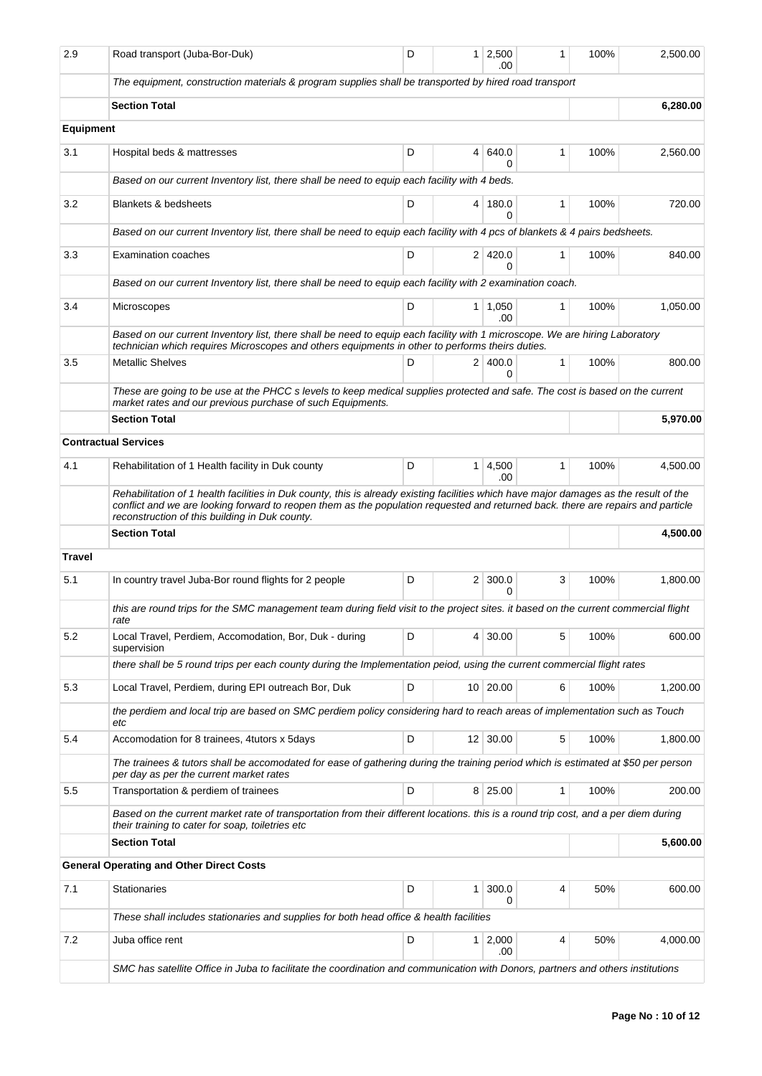| 2.9           | Road transport (Juba-Bor-Duk)                                                                                                                                                                                                                                                                                                | D | 1              | 2.500<br>.00            | 1 | 100% | 2,500.00 |
|---------------|------------------------------------------------------------------------------------------------------------------------------------------------------------------------------------------------------------------------------------------------------------------------------------------------------------------------------|---|----------------|-------------------------|---|------|----------|
|               | The equipment, construction materials & program supplies shall be transported by hired road transport                                                                                                                                                                                                                        |   |                |                         |   |      |          |
|               | <b>Section Total</b>                                                                                                                                                                                                                                                                                                         |   |                |                         |   |      | 6,280.00 |
| Equipment     |                                                                                                                                                                                                                                                                                                                              |   |                |                         |   |      |          |
| 3.1           | Hospital beds & mattresses                                                                                                                                                                                                                                                                                                   | D | 4              | 640.0<br>$\Omega$       | 1 | 100% | 2,560.00 |
|               | Based on our current Inventory list, there shall be need to equip each facility with 4 beds.                                                                                                                                                                                                                                 |   |                |                         |   |      |          |
| 3.2           | <b>Blankets &amp; bedsheets</b>                                                                                                                                                                                                                                                                                              | D |                | 4 180.0<br>0            | 1 | 100% | 720.00   |
|               | Based on our current Inventory list, there shall be need to equip each facility with 4 pcs of blankets & 4 pairs bedsheets.                                                                                                                                                                                                  |   |                |                         |   |      |          |
| 3.3           | <b>Examination coaches</b>                                                                                                                                                                                                                                                                                                   | D |                | 2 420.0<br>0            | 1 | 100% | 840.00   |
|               | Based on our current Inventory list, there shall be need to equip each facility with 2 examination coach.                                                                                                                                                                                                                    |   |                |                         |   |      |          |
| 3.4           | Microscopes                                                                                                                                                                                                                                                                                                                  | D | 1 <sup>1</sup> | 1,050<br>.00.           | 1 | 100% | 1,050.00 |
|               | Based on our current Inventory list, there shall be need to equip each facility with 1 microscope. We are hiring Laboratory<br>technician which requires Microscopes and others equipments in other to performs theirs duties.                                                                                               |   |                |                         |   |      |          |
| 3.5           | <b>Metallic Shelves</b>                                                                                                                                                                                                                                                                                                      | D |                | 2 400.0<br><sup>0</sup> | 1 | 100% | 800.00   |
|               | These are going to be use at the PHCC s levels to keep medical supplies protected and safe. The cost is based on the current<br>market rates and our previous purchase of such Equipments.                                                                                                                                   |   |                |                         |   |      |          |
|               | <b>Section Total</b>                                                                                                                                                                                                                                                                                                         |   |                |                         |   |      | 5,970.00 |
|               | <b>Contractual Services</b>                                                                                                                                                                                                                                                                                                  |   |                |                         |   |      |          |
| 4.1           | Rehabilitation of 1 Health facility in Duk county                                                                                                                                                                                                                                                                            | D | 1              | 4,500<br>.00            | 1 | 100% | 4,500.00 |
|               | Rehabilitation of 1 health facilities in Duk county, this is already existing facilities which have major damages as the result of the<br>conflict and we are looking forward to reopen them as the population requested and returned back, there are repairs and particle<br>reconstruction of this building in Duk county. |   |                |                         |   |      |          |
|               | <b>Section Total</b>                                                                                                                                                                                                                                                                                                         |   |                |                         |   |      | 4,500.00 |
| <b>Travel</b> |                                                                                                                                                                                                                                                                                                                              |   |                |                         |   |      |          |
| 5.1           | In country travel Juba-Bor round flights for 2 people                                                                                                                                                                                                                                                                        | D | $\overline{2}$ | 300.0<br>$\Omega$       | 3 | 100% | 1,800.00 |
|               | this are round trips for the SMC management team during field visit to the project sites. it based on the current commercial flight<br>rate                                                                                                                                                                                  |   |                |                         |   |      |          |
| 5.2           | Local Travel, Perdiem, Accomodation, Bor, Duk - during<br>supervision                                                                                                                                                                                                                                                        | D | 4              | 30.00                   | 5 | 100% | 600.00   |
|               | there shall be 5 round trips per each county during the Implementation peiod, using the current commercial flight rates                                                                                                                                                                                                      |   |                |                         |   |      |          |
| 5.3           | Local Travel, Perdiem, during EPI outreach Bor, Duk                                                                                                                                                                                                                                                                          | D |                | 10 20.00                | 6 | 100% | 1,200.00 |
|               | the perdiem and local trip are based on SMC perdiem policy considering hard to reach areas of implementation such as Touch<br>etc                                                                                                                                                                                            |   |                |                         |   |      |          |
| 5.4           | Accomodation for 8 trainees, 4 tutors x 5 days                                                                                                                                                                                                                                                                               | D |                | $12 \mid 30.00$         | 5 | 100% | 1,800.00 |
|               | The trainees & tutors shall be accomodated for ease of gathering during the training period which is estimated at \$50 per person<br>per day as per the current market rates                                                                                                                                                 |   |                |                         |   |      |          |
| 5.5           | Transportation & perdiem of trainees                                                                                                                                                                                                                                                                                         | D |                | 8 25.00                 | 1 | 100% | 200.00   |
|               | Based on the current market rate of transportation from their different locations. this is a round trip cost, and a per diem during<br>their training to cater for soap, toiletries etc                                                                                                                                      |   |                |                         |   |      |          |
|               | <b>Section Total</b>                                                                                                                                                                                                                                                                                                         |   |                |                         |   |      | 5,600.00 |
|               | <b>General Operating and Other Direct Costs</b>                                                                                                                                                                                                                                                                              |   |                |                         |   |      |          |
| 7.1           | <b>Stationaries</b>                                                                                                                                                                                                                                                                                                          | D | 1              | 300.0<br>0              | 4 | 50%  | 600.00   |
|               | These shall includes stationaries and supplies for both head office & health facilities                                                                                                                                                                                                                                      |   |                |                         |   |      |          |
| 7.2           | Juba office rent                                                                                                                                                                                                                                                                                                             | D | 1              | 2,000<br>.00            | 4 | 50%  | 4,000.00 |
|               | SMC has satellite Office in Juba to facilitate the coordination and communication with Donors, partners and others institutions                                                                                                                                                                                              |   |                |                         |   |      |          |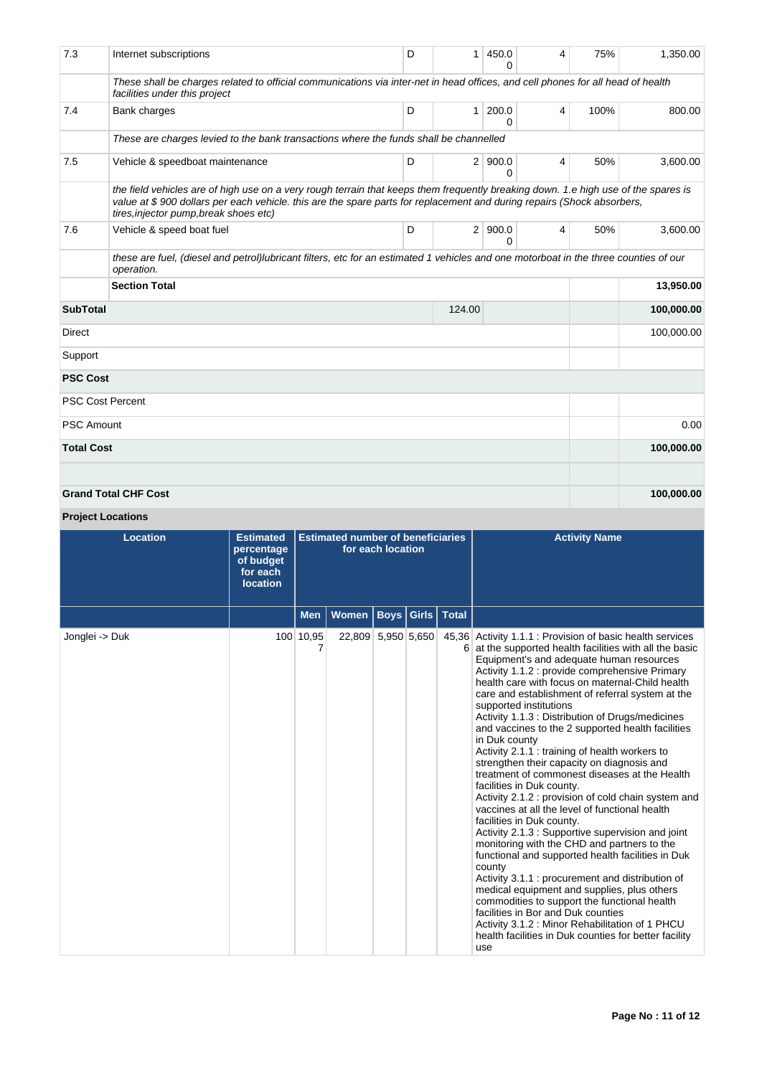| 7.3                       | Internet subscriptions                                                                                                                                                                                                                                                                                 | D | 1 <sup>1</sup> | 450.0<br><sup>0</sup> | 4 | 75%  | 1,350.00   |
|---------------------------|--------------------------------------------------------------------------------------------------------------------------------------------------------------------------------------------------------------------------------------------------------------------------------------------------------|---|----------------|-----------------------|---|------|------------|
|                           | These shall be charges related to official communications via inter-net in head offices, and cell phones for all head of health<br>facilities under this project                                                                                                                                       |   |                |                       |   |      |            |
| 7.4                       | Bank charges                                                                                                                                                                                                                                                                                           | D | 1 <sup>1</sup> | 200.0<br>$\Omega$     | 4 | 100% | 800.00     |
|                           | These are charges levied to the bank transactions where the funds shall be channelled                                                                                                                                                                                                                  |   |                |                       |   |      |            |
| 7.5                       | Vehicle & speedboat maintenance                                                                                                                                                                                                                                                                        | D |                | 2   900.0<br>$\Omega$ | 4 | 50%  | 3,600.00   |
|                           | the field vehicles are of high use on a very rough terrain that keeps them frequently breaking down. 1.e high use of the spares is<br>value at \$900 dollars per each vehicle. this are the spare parts for replacement and during repairs (Shock absorbers,<br>tires, injector pump, break shoes etc) |   |                |                       |   |      |            |
| 7.6                       | Vehicle & speed boat fuel                                                                                                                                                                                                                                                                              | D |                | 2   900.0<br>0        | 4 | 50%  | 3,600.00   |
|                           | these are fuel, (diesel and petrol)lubricant filters, etc for an estimated 1 vehicles and one motorboat in the three counties of our<br>operation.                                                                                                                                                     |   |                |                       |   |      |            |
|                           | <b>Section Total</b>                                                                                                                                                                                                                                                                                   |   |                |                       |   |      | 13,950.00  |
| <b>SubTotal</b><br>124.00 |                                                                                                                                                                                                                                                                                                        |   |                |                       |   |      | 100,000.00 |
| <b>Direct</b>             |                                                                                                                                                                                                                                                                                                        |   |                |                       |   |      | 100,000.00 |
| Support                   |                                                                                                                                                                                                                                                                                                        |   |                |                       |   |      |            |
| <b>PSC Cost</b>           |                                                                                                                                                                                                                                                                                                        |   |                |                       |   |      |            |
|                           | <b>PSC Cost Percent</b>                                                                                                                                                                                                                                                                                |   |                |                       |   |      |            |
| <b>PSC Amount</b>         |                                                                                                                                                                                                                                                                                                        |   |                |                       |   |      | 0.00       |
| <b>Total Cost</b>         |                                                                                                                                                                                                                                                                                                        |   |                |                       |   |      | 100,000.00 |
|                           |                                                                                                                                                                                                                                                                                                        |   |                |                       |   |      |            |
|                           | <b>Grand Total CHF Cost</b>                                                                                                                                                                                                                                                                            |   |                |                       |   |      | 100,000.00 |

# **Project Locations**

| <b>Location</b> | <b>Estimated</b><br>percentage<br>of budget<br>for each<br><b>location</b> | <b>Estimated number of beneficiaries</b><br>for each location |                    |             |       |              | <b>Activity Name</b>                                                                                                                                                                                                                                                                                                                                                                                                                                                                                                                                                                                                                                                                                                                                                                                                                                                                                                                                                                                                                                                                                                                                                                                                                                                           |
|-----------------|----------------------------------------------------------------------------|---------------------------------------------------------------|--------------------|-------------|-------|--------------|--------------------------------------------------------------------------------------------------------------------------------------------------------------------------------------------------------------------------------------------------------------------------------------------------------------------------------------------------------------------------------------------------------------------------------------------------------------------------------------------------------------------------------------------------------------------------------------------------------------------------------------------------------------------------------------------------------------------------------------------------------------------------------------------------------------------------------------------------------------------------------------------------------------------------------------------------------------------------------------------------------------------------------------------------------------------------------------------------------------------------------------------------------------------------------------------------------------------------------------------------------------------------------|
|                 |                                                                            | <b>Men</b>                                                    | Women              | <b>Boys</b> | Girls | <b>Total</b> |                                                                                                                                                                                                                                                                                                                                                                                                                                                                                                                                                                                                                                                                                                                                                                                                                                                                                                                                                                                                                                                                                                                                                                                                                                                                                |
| Jonglei -> Duk  |                                                                            | 100 10,95                                                     | 22,809 5,950 5,650 |             |       | 6.           | 45,36 Activity 1.1.1 : Provision of basic health services<br>at the supported health facilities with all the basic<br>Equipment's and adequate human resources<br>Activity 1.1.2 : provide comprehensive Primary<br>health care with focus on maternal-Child health<br>care and establishment of referral system at the<br>supported institutions<br>Activity 1.1.3 : Distribution of Drugs/medicines<br>and vaccines to the 2 supported health facilities<br>in Duk county<br>Activity 2.1.1 : training of health workers to<br>strengthen their capacity on diagnosis and<br>treatment of commonest diseases at the Health<br>facilities in Duk county.<br>Activity 2.1.2 : provision of cold chain system and<br>vaccines at all the level of functional health<br>facilities in Duk county.<br>Activity 2.1.3 : Supportive supervision and joint<br>monitoring with the CHD and partners to the<br>functional and supported health facilities in Duk<br>county<br>Activity 3.1.1 : procurement and distribution of<br>medical equipment and supplies, plus others<br>commodities to support the functional health<br>facilities in Bor and Duk counties<br>Activity 3.1.2 : Minor Rehabilitation of 1 PHCU<br>health facilities in Duk counties for better facility<br>use |